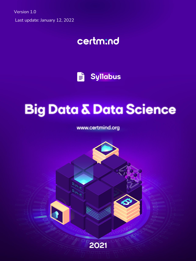Version 1.0 Last update: January 12, 2022

# certm:nd

Ë **Syllabus** 

# **Big Data & Data Science**

www.certmind.org

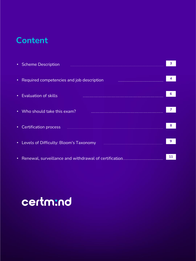# **Content**

| <b>Scheme Description</b><br>$\bullet$ .                                                                                                                                                                               | 3  |
|------------------------------------------------------------------------------------------------------------------------------------------------------------------------------------------------------------------------|----|
|                                                                                                                                                                                                                        |    |
| Required competencies and job description<br>$\bullet$                                                                                                                                                                 | 4  |
|                                                                                                                                                                                                                        |    |
| <b>Evaluation of skills</b><br>$\bullet$                                                                                                                                                                               | 6  |
|                                                                                                                                                                                                                        |    |
| Who should take this exam?<br>$\bullet$<br>$\mathcal{L}^{\text{max}}_{\text{max}}$ and $\mathcal{L}^{\text{max}}_{\text{max}}$ and $\mathcal{L}^{\text{max}}_{\text{max}}$ and $\mathcal{L}^{\text{max}}_{\text{max}}$ | 7  |
|                                                                                                                                                                                                                        |    |
| <b>Certification process</b><br>$\bullet$                                                                                                                                                                              | 8  |
|                                                                                                                                                                                                                        |    |
| Levels of Difficulty: Bloom's Taxonomy<br>$\bullet$                                                                                                                                                                    | 9  |
|                                                                                                                                                                                                                        |    |
| Renewal, surveillance and withdrawal of certification<br>$\bullet$                                                                                                                                                     | 11 |
|                                                                                                                                                                                                                        |    |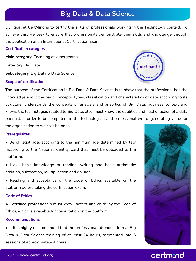### **Big Data & Data Science**

Our goal at CertMind is to certify the skills of professionals working in the Technology context. To achieve this, we seek to ensure that professionals demonstrate their skills and knowledge through the application of an International Certification Exam.

#### **Certification category**

**Main category:** Tecnologías emergentes **Category:** Big Data **Subcategory**: Big Data & Data Science

### **Scope of certification**



The purpose of the Certification in Big Data & Data Science is to show that the professional has the knowledge about the basic concepts, types, classification and characteristics of data according to its structure, understands the concepts of analysis and analytics of Big Data, business context and knows the technologies related to Big Data; also, must know the qualities and field of action of a data scientist; in order to be competent in the technological and professional world, generating value for the organization to which it belongs.

#### **Prerequisites**

- Be of legal age, according to the minimum age determined by law (according to the National Identity Card that must be uploaded to the platform).
- Have basic knowledge of reading, writing and basic arithmetic: addition, subtraction, multiplication and division.
- Reading and acceptance of the Code of Ethics available on the platform before taking the certification exam.

#### **Code of Ethics**

All certified professionals must know, accept and abide by the Code of Ethics, which is available for consultation on the platform.

#### **Recommendations**

It is highly recommended that the professional attends a formal Big Data & Data Science training of at least 24 hours, segmented into 6 sessions of approximately 4 hours.

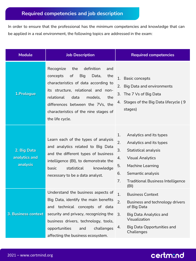In order to ensure that the professional has the minimum competencies and knowledge that can be applied in a real environment, the following topics are addressed in the exam:

| <b>Module</b>                            | <b>Job Description</b>                                                                                                                                                                                                                                                                                      | <b>Required competencies</b>                                                                                                                                                                                                                 |
|------------------------------------------|-------------------------------------------------------------------------------------------------------------------------------------------------------------------------------------------------------------------------------------------------------------------------------------------------------------|----------------------------------------------------------------------------------------------------------------------------------------------------------------------------------------------------------------------------------------------|
| 1.Prologue                               | definition<br>Recognize<br>the<br>and<br>of<br><b>Big</b><br>concepts<br>Data,<br>the<br>characteristics of data according to<br>its structure, relational and non-<br>relational<br>data<br>models.<br>the<br>differences between the 7Vs, the<br>characteristics of the nine stages of<br>the life cycle. | 1.<br><b>Basic concepts</b><br><b>Big Data and environments</b><br>2.<br>3. The 7 Vs of Big Data<br>4. Stages of the Big Data lifecycle (9)<br>stages)                                                                                       |
| 2. Big Data<br>analytics and<br>analysis | Learn each of the types of analysis<br>and analytics related to Big Data<br>and the different types of business<br>intelligence (BI), to demonstrate the<br>statistical<br>basic<br>knowledge<br>necessary to be a data analyst.                                                                            | 1.<br>Analytics and its types<br>2.<br>Analytics and its types<br>3.<br>Statistical analysis<br><b>Visual Analytics</b><br>4.<br>Machine Learning<br>5.<br>Semantic analysis<br>6.<br>7.<br><b>Traditional Business Intelligence</b><br>(BI) |
| 3. Business context                      | Understand the business aspects of<br>Big Data, identify the main benefits<br>and technical concepts of data<br>security and privacy, recognizing the<br>business drivers, technology, tools,<br>opportunities<br>and<br>challenges<br>affecting the business ecosystem.                                    | 1.<br><b>Business Context</b><br>2.<br>Business and technology drivers<br>of Big Data<br>3.<br><b>Big Data Analytics and</b><br>Visualization<br><b>Big Data Opportunities and</b><br>4.<br>Challenges                                       |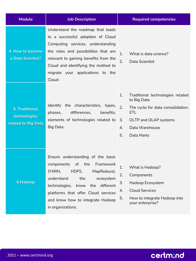| <b>Module</b>                                                | <b>Job Description</b>                                                                                                                                                                                                                                                                  | <b>Required competencies</b>                                                                                                                                                       |
|--------------------------------------------------------------|-----------------------------------------------------------------------------------------------------------------------------------------------------------------------------------------------------------------------------------------------------------------------------------------|------------------------------------------------------------------------------------------------------------------------------------------------------------------------------------|
| 4. How to become<br>a Data Scientist?                        | Understand the roadmap that leads<br>to a successful adoption of Cloud<br>Computing services, understanding<br>the roles and possibilities that are<br>relevant to gaining benefits from the<br>Cloud and identifying the method to<br>migrate your applications to the<br>Cloud.       | 1.<br>What is data science?<br>2.<br>Data Scientist                                                                                                                                |
| <b>5. Traditional</b><br>technologies<br>related to Big Data | Identify the characteristics, types,<br>differences,<br>phases,<br>benefits.<br>elements of technologies related to<br>Big Data.                                                                                                                                                        | 1.<br>Traditional technologies related<br>to Big Data<br>2.<br>The cycle for data consolidation:<br>ETL<br>OLTP and OLAP systems<br>3.<br>Data Warehouse<br>4.<br>5.<br>Data Marts |
| 6.Hadoop                                                     | Ensure understanding of the basic<br>of the<br>Framework<br>components<br>(YARN,<br>HDFS,<br>MapReduce),<br>understand<br>the<br>ecosystem<br>technologies,<br>different<br>know<br>the<br>platforms that offer Cloud services<br>and know how to integrate Hadoop<br>in organizations. | 1.<br>What is Hadoop?<br>2<br>Components<br>3.<br>Hadoop Ecosystem<br><b>Cloud Services</b><br>4.<br>How to integrate Hadoop into<br>5.<br>your enterprise?                        |

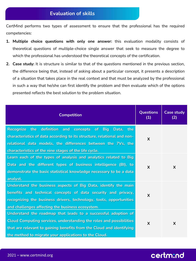### **Evaluation of skills**

CertMind performs two types of assessment to ensure that the professional has the required competencies:

- **1. Multiple choice questions with only one answer:** this evaluation modality consists of theoretical questions of multiple-choice single answer that seek to measure the degree to which the professional has understood the theoretical concepts of the certification.
- **2. Case study:** It is structure is similar to that of the questions mentioned in the previous section, the difference being that, instead of asking about a particular concept, it presents a description of a situation that takes place in the real context and that must be analyzed by the professional in such a way that he/she can first identify the problem and then evaluate which of the options presented reflects the best solution to the problem situation.

| <b>Competition</b>                                                                                                                                                                                                                                                           | <b>Questions</b><br>(1)   | <b>Case study</b><br>(2)  |
|------------------------------------------------------------------------------------------------------------------------------------------------------------------------------------------------------------------------------------------------------------------------------|---------------------------|---------------------------|
| Recognize the definition and concepts of Big<br>Data, the<br>characteristics of data according to its structure, relational and non-<br>relational data models, the differences between the 7Vs, the<br>characteristics of the nine stages of the life cycle.                | X                         |                           |
| Learn each of the types of analysis and analytics related to Big<br>Data and the different types of business intelligence (BI), to<br>demonstrate the basic statistical knowledge necessary to be a data<br>analyst.                                                         | $\boldsymbol{\mathsf{X}}$ | $\boldsymbol{\mathsf{X}}$ |
| Understand the business aspects of Big Data, identify the main<br>benefits and technical concepts of data security and privacy,<br>recognizing the business drivers, technology, tools, opportunities<br>and challenges affecting the business ecosystem.                    | $\boldsymbol{\mathsf{X}}$ |                           |
| Understand the roadmap that leads to a successful adoption of<br><b>Cloud Computing services, understanding the roles and possibilities</b><br>that are relevant to gaining benefits from the Cloud and identifying<br>the method to migrate your applications to the Cloud. | $\boldsymbol{\mathsf{X}}$ | X                         |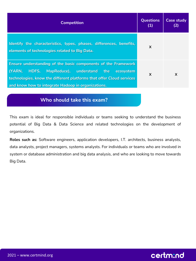| <b>Competition</b>                                                                                                                                                                                                                                        | <b>Questions</b><br>(1)   | <b>Case study</b><br>(2) |
|-----------------------------------------------------------------------------------------------------------------------------------------------------------------------------------------------------------------------------------------------------------|---------------------------|--------------------------|
| Identify the characteristics, types, phases, differences, benefits,<br>elements of technologies related to Big Data.                                                                                                                                      | $\times$                  |                          |
| Ensure understanding of the basic components of the Framework<br>MapReduce), understand the<br>HDFS,<br>(YARN,<br>ecosystem<br>technologies, know the different platforms that offer Cloud services<br>and know how to integrate Hadoop in organizations. | $\boldsymbol{\mathsf{x}}$ | X                        |

### **Who should take this exam?**

This exam is ideal for responsible individuals or teams seeking to understand the business potential of Big Data & Data Science and related technologies on the development of organizations.

**Roles such as:** Software engineers, application developers, I.T. architects, business analysts, data analysts, project managers, systems analysts. For individuals or teams who are involved in system or database administration and big data analysis, and who are looking to move towards Big Data.

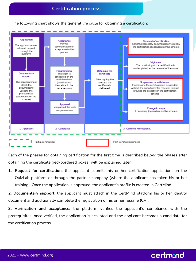The following chart shows the general life cycle for obtaining a certification:



Each of the phases for obtaining certification for the first time is described below; the phases after obtaining the certificate (red-bordered boxes) will be explained later.

**1. Request for certification:** the applicant submits his or her certification application, on the QuizLab platform or through the partner company (where the applicant has taken his or her training). Once the application is approved, the applicant's profile is created in CertMind.

**2. Documentary support:** the applicant must attach in the CertMind platform his or her identity document and additionally complete the registration of his or her resume (CV).

**3. Verification and acceptance:** the platform verifies the applicant's compliance with the prerequisites, once verified, the application is accepted and the applicant becomes a candidate for the certification process.

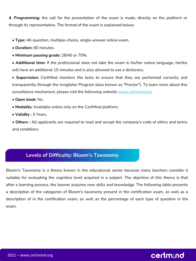**4. Programming:** the call for the presentation of the exam is made, directly on the platform or through its representative. The format of the exam is explained below:

- **• Type:** 40-question, multiple-choice, single-answer online exam.
- **• Duration:** 60 minutes.
- **• Minimum passing grade:** 28/40 or 70%.

**• Additional time:** If the professional does not take the exam in his/her native language, he/she will have an additional 15 minutes and is also allowed to use a dictionary.

**• Supervision:** CertMind monitors the tests to ensure that they are performed correctly and transparently through the Invigilator Program (also known as "Proctor"). To learn more about this surveillance mechanism, please visit the following website www.certmind.org

- **Open book:** No.
- **• Modality:** Available online only on the CertMind platform.
- **• Validity :** 5 Years.

**• Others :** All applicants are required to read and accept the company's code of ethics and terms and conditions.

### **Levels of Difficulty: Bloom's Taxonomy**

Bloom's Taxonomy is a theory known in the educational sector because many teachers consider it suitable for evaluating the cognitive level acquired in a subject. The objective of this theory is that after a learning process, the learner acquires new skills and knowledge. The following table presents a description of the categories of Bloom's taxonomy present in the certification exam, as well as a description of in the certification exam, as well as the percentage of each type of question in the exam.

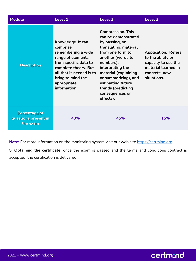| <b>Module</b>                                            | Level 1                                                                                                                                                                                                    | Level 2                                                                                                                                                                                                                                                                                         | Level 3                                                                                                                       |
|----------------------------------------------------------|------------------------------------------------------------------------------------------------------------------------------------------------------------------------------------------------------------|-------------------------------------------------------------------------------------------------------------------------------------------------------------------------------------------------------------------------------------------------------------------------------------------------|-------------------------------------------------------------------------------------------------------------------------------|
| <b>Description</b>                                       | Knowledge. It can<br>comprise<br>remembering a wide<br>range of elements,<br>from specific data to<br>complete theory. But<br>all that is needed is to<br>bring to mind the<br>appropriate<br>information. | <b>Compression. This</b><br>can be demonstrated<br>by passing, or<br>translating, material<br>from one form to<br>another (words to<br>numbers),<br>interpreting the<br>material (explaining<br>or summarizing), and<br>estimating future<br>trends (predicting<br>consequences or<br>effects). | <b>Application. Refers</b><br>to the ability or<br>capacity to use the<br>material learned in<br>concrete, new<br>situations. |
| <b>Percentage of</b><br>questions present in<br>the exam | 40%                                                                                                                                                                                                        | 45%                                                                                                                                                                                                                                                                                             | 15%                                                                                                                           |

Note: For more information on the monitoring system visit our web site [https://certmind.org.](https://certmind.org/)

**5. Obtaining the certificate:** once the exam is passed and the terms and conditions contract is accepted, the certification is delivered.

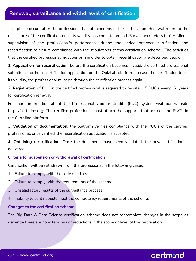### **Renewal, surveillance and withdrawal of certification**

This phase occurs after the professional has obtained his or her certification. Renewal refers to the reissuance of the certification once its validity has come to an end. Surveillance refers to CertMind's supervision of the professional's performance during the period between certification and recertification to ensure compliance with the stipulations of this certification scheme. The activities that the certified professional must perform in order to obtain recertification are described below:

**1. Application for recertification:** before the certification becomes invalid, the certified professional submits his or her recertification application on the QuizLab platform. In case the certification loses its validity, the professional must go through the certification process again.

**2. Registration of PUC's:** the certified professional is required to register 15 PUC's every 5 years for certification renewal.

For more information about the Professional Update Credits (PUC) system visit our website https://certmind.org. The certified professional must attach the supports that accredit the PUC's in the CertMind platform.

**3. Validation of documentation:** the platform verifies compliance with the PUC's of the certified professional, once verified, the recertification application is accepted.

**4. Obtaining recertification:** Once the documents have been validated, the new certification is delivered.

### **Criteria for suspension or withdrawal of certification**

Certification will be withdrawn from the professional in the following cases:

- 1. Failure to comply with the code of ethics.
- 2. Failure to comply with the requirements of the scheme.
- 3. Unsatisfactory results of the surveillance process.
- 4. Inability to continuously meet the competency requirements of the scheme.

#### **Changes to the certification scheme**

The Big Data & Data Science certification scheme does not contemplate changes in the scope as currently there are no extensions or reductions in the scope or level of the certification.